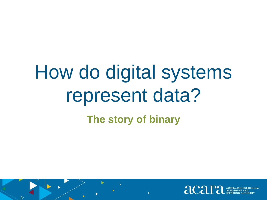# How do digital systems represent data? **The story of binary**

 $\triangleright$ 

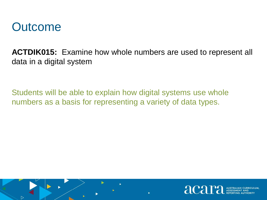

 $\triangleright$ 

**ACTDIK015:** Examine how whole numbers are used to represent all data in a digital system

Students will be able to explain how digital systems use whole numbers as a basis for representing a variety of data types.

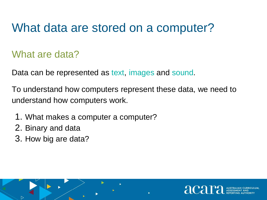#### What data are stored on a computer?

#### What are data?

Data can be represented as text, images and sound.

To understand how computers represent these data, we need to understand how computers work.

- 1. What makes a computer a computer?
- 2. Binary and data

▷

3. How big are data?

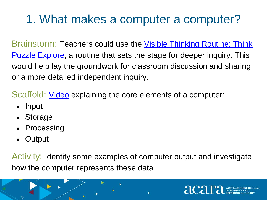# 1. What makes a computer a computer?

[Brainstorm: Teachers could use the Visible Thinking Routine: Think](http://www.visiblethinkingpz.org/VisibleThinking_html_files/03_ThinkingRoutines/03d_UnderstandingRoutines/ThinkPuzzleExplore/ThinkPuzzleExplore_Routine.html)  Puzzle Explore, a routine that sets the stage for deeper inquiry. This would help lay the groundwork for classroom discussion and sharing or a more detailed independent inquiry.

Scaffold: [Video](https://youtu.be/xfKn5OjHLqQ) explaining the core elements of a computer:

- Input
- Storage
- Processing
- **Output**

 $\triangleright$ 

Activity: Identify some examples of computer output and investigate how the computer represents these data.

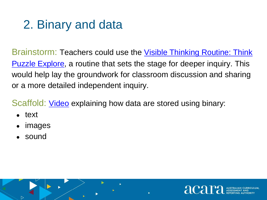### 2. Binary and data

Brainstorm: Teachers could use the *Visible Thinking Routine: Think* Puzzle Explore, a routine that sets the stage for deeper inquiry. This would help lay the groundwork for classroom discussion and sharing or a more detailed independent inquiry.

Scaffold: [Video](https://youtu.be/ewokFOSxabs) explaining how data are stored using binary:

text

 $\triangleright$ 

- images
- sound

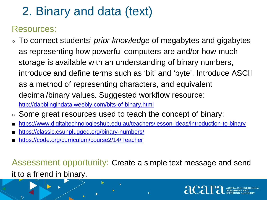# 2. Binary and data (text)

#### Resources:

 $\triangleright$ 

- To connect students' *prior knowledge* of megabytes and gigabytes as representing how powerful computers are and/or how much storage is available with an understanding of binary numbers, introduce and define terms such as 'bit' and 'byte'. Introduce ASCII as a method of representing characters, and equivalent decimal/binary values. Suggested workflow resource: <http://dabblingindata.weebly.com/bits-of-binary.html>
- Some great resources used to teach the concept of binary:
- <https://www.digitaltechnologieshub.edu.au/teachers/lesson-ideas/introduction-to-binary>
- <https://classic.csunplugged.org/binary-numbers/>
- <https://code.org/curriculum/course2/14/Teacher>

Assessment opportunity: Create a simple text message and send it to a friend in binary.

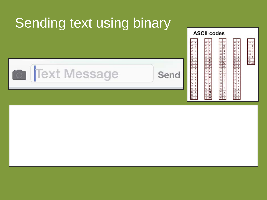# **Sending text using binary**



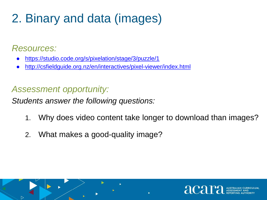# 2. Binary and data (images)

#### *Resources:*

▷

- <https://studio.code.org/s/pixelation/stage/3/puzzle/1>
- <http://csfieldguide.org.nz/en/interactives/pixel-viewer/index.html>

#### *Assessment opportunity:*

*Students answer the following questions:*

- 1. Why does video content take longer to download than images?
- 2. What makes a good-quality image?

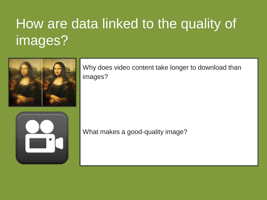# How are data linked to the quality of images?



Why does video content take longer to download than images?



What makes a good-quality image?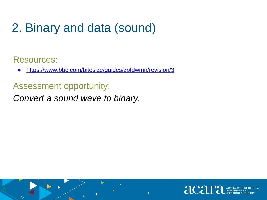# 2. Binary and data (sound)

Resources:

 $\triangleright$ 

<https://www.bbc.com/bitesize/guides/zpfdwmn/revision/3>

Assessment opportunity:

*Convert a sound wave to binary.*

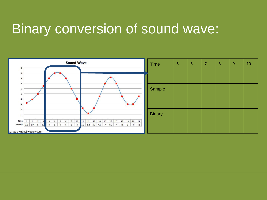### Binary conversion of sound wave:

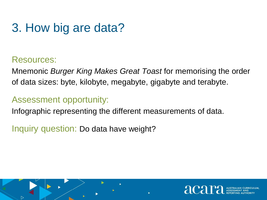#### 3. How big are data?

#### Resources:

▷

Mnemonic *Burger King Makes Great Toast* for memorising the order of data sizes: byte, kilobyte, megabyte, gigabyte and terabyte.

#### Assessment opportunity:

Infographic representing the different measurements of data.

Inquiry question: Do data have weight?

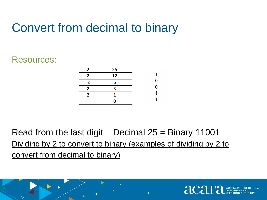#### Convert from decimal to binary

#### Resources:

 $\triangleright$ 



Read from the last digit – Decimal  $25 =$  Binary 11001 Dividing by 2 to convert to binary (examples of dividing by 2 to convert from decimal to binary)

acar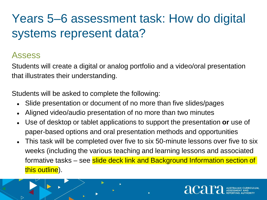# Years 5–6 assessment task: How do digital systems represent data?

#### Assess

 $\triangleright$ 

Students will create a digital or analog portfolio and a video/oral presentation that illustrates their understanding.

Students will be asked to complete the following:

- Slide presentation or document of no more than five slides/pages
- Aligned video/audio presentation of no more than two minutes
- Use of desktop or tablet applications to support the presentation **or** use of paper-based options and oral presentation methods and opportunities
- This task will be completed over five to six 50-minute lessons over five to six weeks (including the various teaching and learning lessons and associated formative tasks – see slide deck link and Background Information section of this outline).

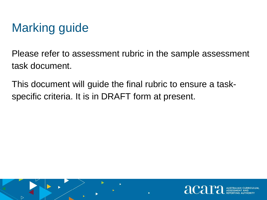# Marking guide

▷

Please refer to assessment rubric in the sample assessment task document.

This document will guide the final rubric to ensure a taskspecific criteria. It is in DRAFT form at present.